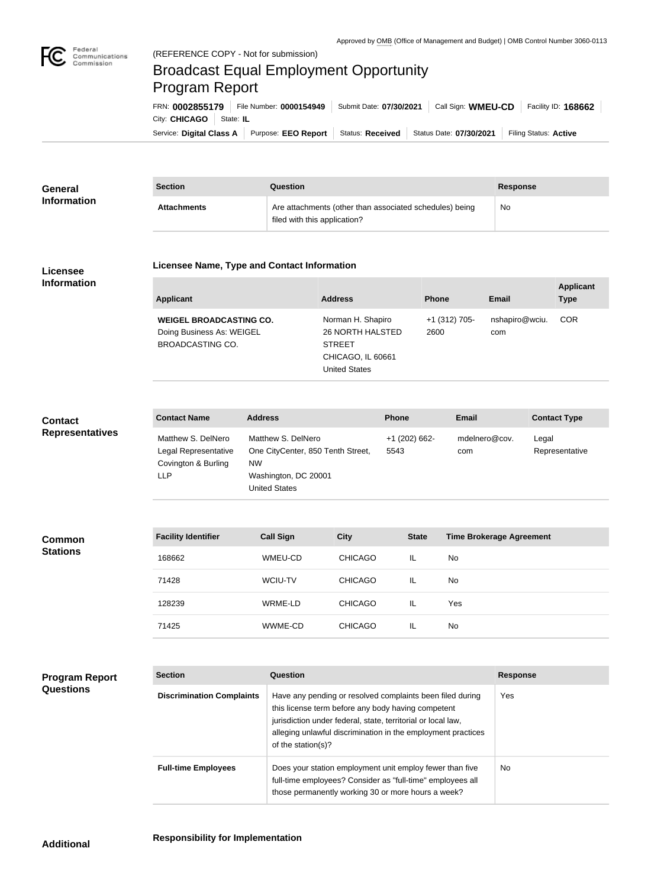

# Federal<br>Communications<br>Commission (REFERENCE COPY - Not for submission) Broadcast Equal Employment Opportunity Program ReportFRN: **0002855179** File Number: **0000154949** Submit Date: **07/30/2021** Call Sign: **WMEU-CD** Facility ID: **168662** City: **CHICAGO** State: **IL**

Service: Digital Class A | Purpose: EEO Report | Status: Received | Status Date: 07/30/2021 | Filing Status: Active

| <b>General</b><br><b>Information</b> | <b>Section</b>     | Question                                                                                | <b>Response</b> |
|--------------------------------------|--------------------|-----------------------------------------------------------------------------------------|-----------------|
|                                      | <b>Attachments</b> | Are attachments (other than associated schedules) being<br>filed with this application? | No              |

### **Licensee Information**

#### **Licensee Name, Type and Contact Information**

| Applicant                                                                              | <b>Address</b>                                                                                             | <b>Phone</b>          | Email                 | <b>Applicant</b><br><b>Type</b> |
|----------------------------------------------------------------------------------------|------------------------------------------------------------------------------------------------------------|-----------------------|-----------------------|---------------------------------|
| <b>WEIGEL BROADCASTING CO.</b><br>Doing Business As: WEIGEL<br><b>BROADCASTING CO.</b> | Norman H. Shapiro<br><b>26 NORTH HALSTED</b><br><b>STREET</b><br>CHICAGO, IL 60661<br><b>United States</b> | +1 (312) 705-<br>2600 | nshapiro@wciu.<br>com | <b>COR</b>                      |

## **Contact Representatives**

| <b>Contact Name</b>                                                      | <b>Address</b>                                                                                                | <b>Phone</b>          | Email                | <b>Contact Type</b>     |
|--------------------------------------------------------------------------|---------------------------------------------------------------------------------------------------------------|-----------------------|----------------------|-------------------------|
| Matthew S. DelNero<br>Legal Representative<br>Covington & Burling<br>LLP | Matthew S. DelNero<br>One CityCenter, 850 Tenth Street,<br><b>NW</b><br>Washington, DC 20001<br>United States | +1 (202) 662-<br>5543 | mdelnero@cov.<br>com | Legal<br>Representative |

| <b>Common</b><br><b>Stations</b> | <b>Facility Identifier</b> | <b>Call Sign</b> | <b>City</b>    | <b>State</b> | <b>Time Brokerage Agreement</b> |
|----------------------------------|----------------------------|------------------|----------------|--------------|---------------------------------|
|                                  | 168662                     | WMEU-CD          | <b>CHICAGO</b> | IL.          | <b>No</b>                       |
|                                  | 71428                      | WCIU-TV          | <b>CHICAGO</b> | IL.          | <b>No</b>                       |
|                                  | 128239                     | WRME-LD          | <b>CHICAGO</b> | IL           | Yes                             |
|                                  | 71425                      | WWME-CD          | <b>CHICAGO</b> | IL           | No                              |

## **Program Report Questions**

| <b>Section</b>                   | Question                                                                                                                                                                                                                                                              | <b>Response</b> |  |
|----------------------------------|-----------------------------------------------------------------------------------------------------------------------------------------------------------------------------------------------------------------------------------------------------------------------|-----------------|--|
| <b>Discrimination Complaints</b> | Have any pending or resolved complaints been filed during<br>this license term before any body having competent<br>jurisdiction under federal, state, territorial or local law,<br>alleging unlawful discrimination in the employment practices<br>of the station(s)? | Yes             |  |
| <b>Full-time Employees</b>       | Does your station employment unit employ fewer than five<br>full-time employees? Consider as "full-time" employees all<br>those permanently working 30 or more hours a week?                                                                                          | <b>No</b>       |  |